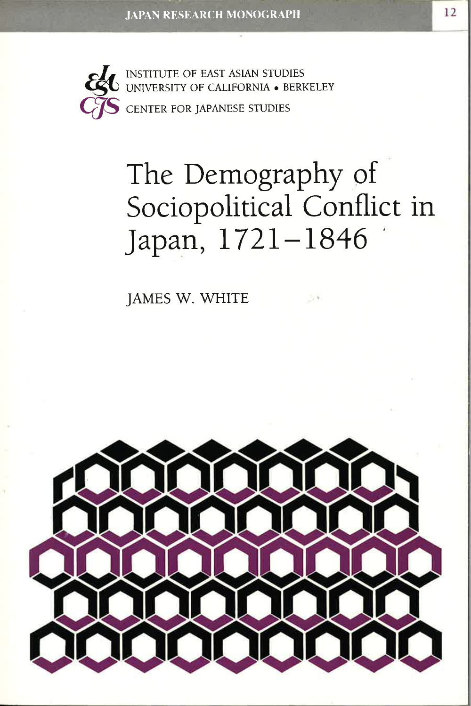

# The Demography of Sociopolitical Conflict in Japan, 1721-1846

JAMES W. WHITE

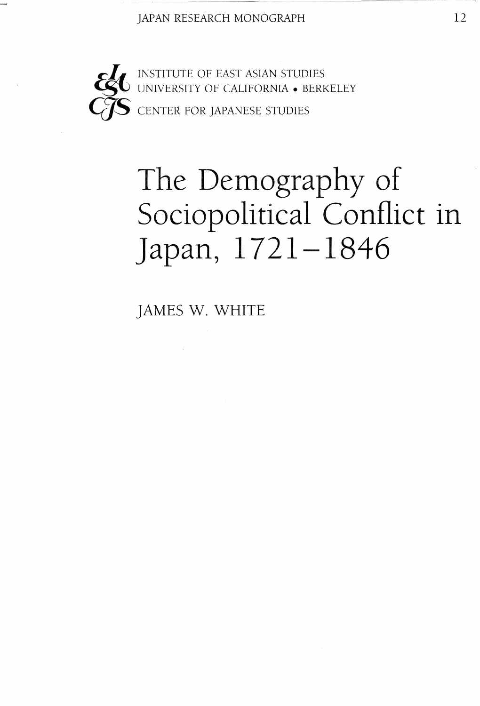

# **The Demography of Sociopolitical Conflict in Japan, 1721-1846**

JAMES W. WHITE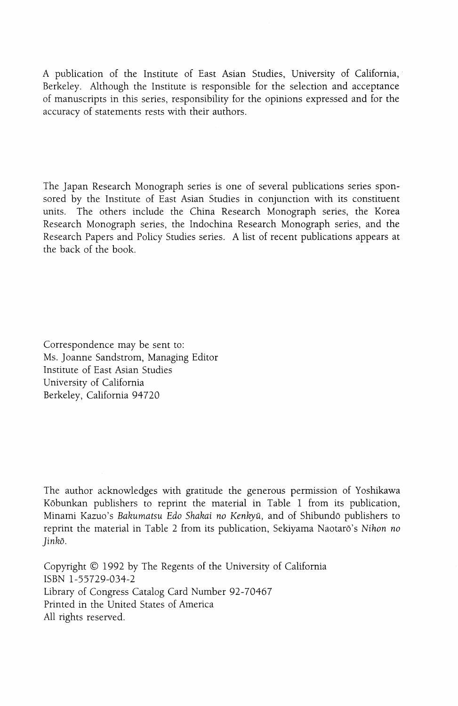A publication of the Institute of East Asian Studies, University of California, Berkeley. Although the Institute is responsible for the selection and acceptance of manuscripts in this series, responsibility for the opinions expressed and for the accuracy of statements rests with their authors.

The Japan Research Monograph series is one of several publications series sponsored by the Institute of East Asian Studies in conjunction with its constituent units. The others include the China Research Monograph series, the Korea Research Monograph series, the Indochina Research Monograph series, and the Research Papers and Policy Studies series. A list of recent publications appears at the back of the book.

Correspondence may be sent to: Ms. Joanne Sandstrom, Managing Editor Institute of East Asian Studies University of California Berkeley, California 94720

The author acknowledges with gratitude the generous permission of Yoshikawa Kobunkan publishers to reprint the material in Table l from its publication, Minami Kazuo's *Bakumatsu Edo Shakai no Kenkyu,* and of Shibundo publishers to reprint the material in Table 2 from its publication, Sekiyama Naotaro's Nihon *no ]inko.* 

Copyright© 1992 by The Regents of the University of California ISBN l-55729-034-2 Library of Congress Catalog Card Number 92-70467 Printed in the United States of America All rights reserved.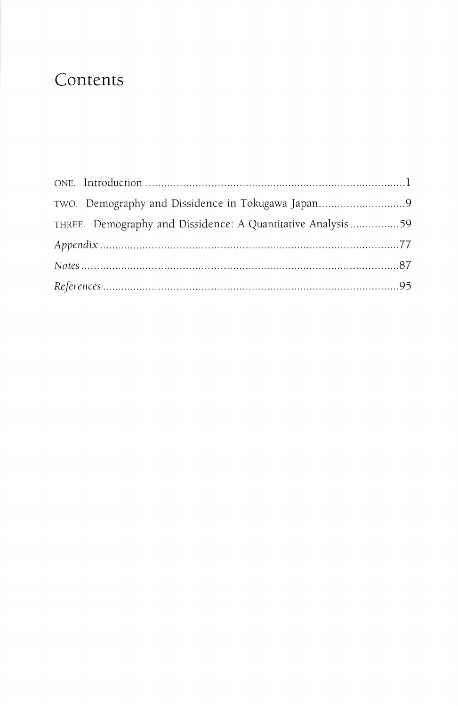# Contents

| TWO. Demography and Dissidence in Tokugawa Japan            |  |
|-------------------------------------------------------------|--|
| THREE. Demography and Dissidence: A Quantitative Analysis59 |  |
|                                                             |  |
|                                                             |  |
|                                                             |  |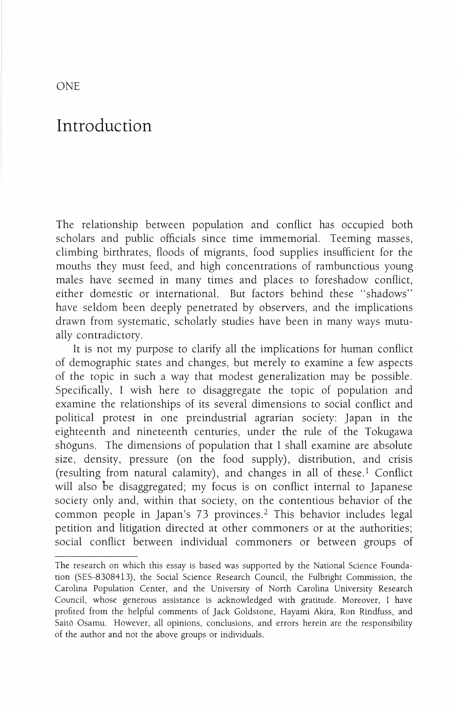## **Introduction**

The relationship between population and conflict has occupied both scholars and public officials since time immemorial. Teeming masses, climbing birthrates, floods of migrants, food supplies insufficient for the mouths they must feed, and high concentrations of rambunctious young males have seemed in many times and places to foreshadow conflict, either domestic or international. But factors behind these "shadows" have seldom been deeply penetrated by observers, and the implications drawn from systematic, scholarly studies have been in many ways mutually contradictory.

It is not my purpose to clarify all the implications for human conflict of demographic states and changes, but merely to examine a few aspects of the topic in such a way that modest generalization may be possible. Specifically, I wish here to disaggregate the topic of population and examine the relationships of its several dimensions to social conflict and political protest in one preindustrial agrarian society: Japan in the eighteenth and nineteenth centuries, under the rule of the Tokugawa shoguns. The dimensions of population that I shall examine are absolute size, density, pressure (on the food supply), distribution, and crisis (resulting from natural calamity), and changes in all of these.<sup>1</sup> Conflict will also be disaggregated; my focus is on conflict internal to Japanese society only and, within that society, on the contentious behavior of the common people in Japan's 73 provinces.<sup>2</sup> This behavior includes legal petition and litigation directed at other commoners or at the authorities; social conflict between individual commoners or between groups of

ONE

The research on which this essay is based was supported by the National Science Foundation (SES-8308413), the Social Science Research Council, the Fulbright Commission, the Carolina Population Center, and the University of North Carolina University Research Council, whose generous assistance is acknowledged with gratitude. Moreover, I have profited from the helpful comments of Jack Goldstone, Hayami Akira, Ron Rindfuss, and Saitō Osamu. However, all opinions, conclusions, and errors herein are the responsibility of the author and not the above groups or individuals.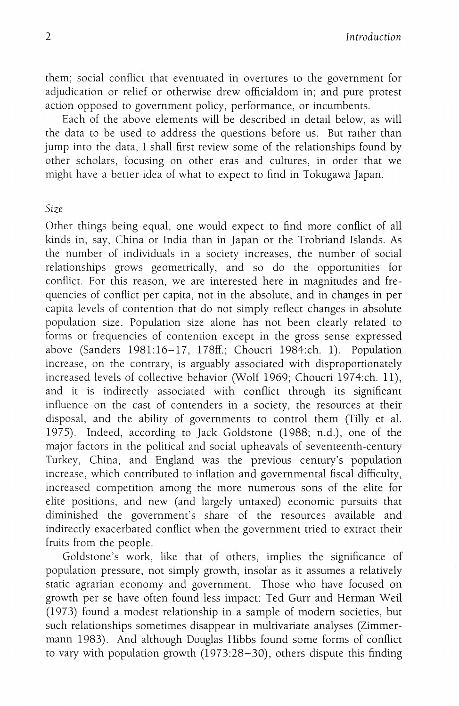2 *Introduction* 

them; social conflict that eventuated in overtures to the government for adjudication or relief or otherwise drew officialdom in; and pure protest action opposed to government policy, performance, or incumbents.

Each of the above elements will be described in detail below, as will the data to be used to address the questions before us. But rather than jump into the data, I shall first review some of the relationships found by other scholars, focusing on other eras and cultures, in order that we might have a better idea of what to expect to find in Tokugawa japan.

#### *Size*

Other things being equal, one would expect to find more conflict of all kinds in, say, China or India than in japan or the Trobriand Islands. As the number of individuals in a society increases, the number of social relationships grows geometrically, and so do the opportunities for conflict. For this reason, we are interested here in magnitudes and frequencies of conflict per capita, not in the absolute, and in changes in per capita levels of contention that do not simply reflect changes in absolute population size. Population size alone has not been clearly related to forms or frequencies of contention except in the gross sense expressed above (Sanders 1981:16-17, 178ff.; Choucri 1984:ch. 1). Population increase, on the contrary, is arguably associated with disproportionately increased levels of collective behavior (Wolf 1969; Choucri 1974:ch. 11), and it is indirectly associated with conflict through its significant influence on the cast of contenders in a society, the resources at their disposal, and the ability of governments to control them (Tilly et al. 1975). Indeed, according to jack Goldstone (1988; n.d.), one of the major factors in the political and social upheavals of seventeenth-century Turkey, China, and England was the previous century's population increase, which contributed to inflation and governmental fiscal difficulty, increased competition among the more numerous sons of the elite for elite positions, and new (and largely untaxed) economic pursuits that diminished the government's share of the resources available and indirectly exacerbated conflict when the government tried to extract their fruits from the people.

Goldstone's work, like that of others, implies the significance of population pressure, not simply growth, insofar as it assumes a relatively static agrarian economy and government. Those who have focused on growth per se have often found less impact: Ted Gurr and Herman Weil (1973) found a modest relationship in a sample of modern societies, but such relationships sometimes disappear in multivariate analyses (Zimmermann 1983). And although Douglas Hibbs found some forms of conflict to vary with population growth (1973:28- 30), others dispute this finding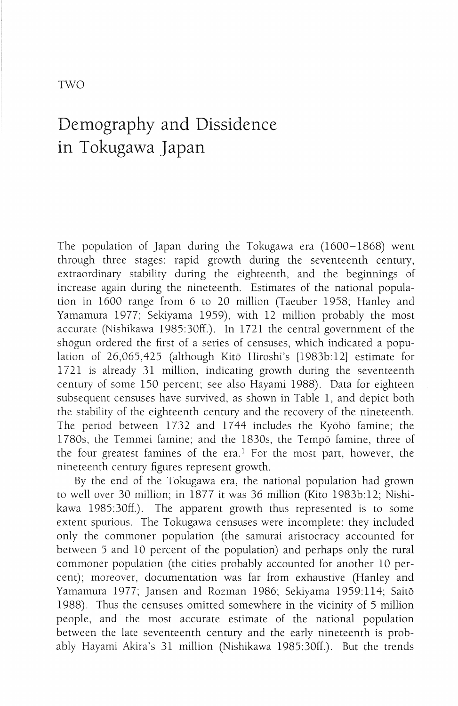### TWO

# Demography and Dissidence in Tokugawa japan

The population of Japan during the Tokugawa era (1600-1868) went through three stages: rapid growth during the seventeenth century, extraordinary stability during the eighteenth, and the beginnings of increase again during the nineteenth. Estimates of the national population in 1600 range from 6 to 20 million (Taeuber 1958; Hanley and Yamamura 1977; Sekiyama 1959), with 12 million probably the most accurate (Nishikawa 1985:30ff.). In 1721 the central government of the shogun ordered the first of a series of censuses, which indicated a population of 26,065,425 (although Kitō Hiroshi's [1983b:12] estimate for 1721 is already 31 million, indicating growth during the seventeenth century of some 150 percent; see also Hayami 1988). Data for eighteen subsequent censuses have survived, as shown in Table 1, and depict both the stability of the eighteenth century and the recovery of the nineteenth. The period between 1732 and 1744 includes the Kyoho famine; the 1780s, the Temmei famine; and the 1830s, the Tempo famine, three of the four greatest famines of the era.<sup>1</sup> For the most part, however, the nineteenth century figures represent growth.

By the end of the Tokugawa era, the national population had grown to well over 30 million; in 1877 it was 36 million (Kitō 1983b:12; Nishikawa 1985:30ff.). The apparent growth thus represented is to some extent spurious. The Tokugawa censuses were incomplete: they included only the commoner population (the samurai aristocracy accounted for between 5 and 10 percent of the population) and perhaps only the rural commoner population (the cities probably accounted for another 10 percent); moreover, documentation was far from exhaustive (Hanley and Yamamura 1977; Jansen and Rozman 1986; Sekiyama 1959:114; Saitō 1988). Thus the censuses omitted somewhere in the vicinity of 5 million people, and the most accurate estimate of the national population between the late seventeenth century and the early nineteenth is probably Hayami Akira's 31 million (Nishikawa 1985:30ff.). But the trends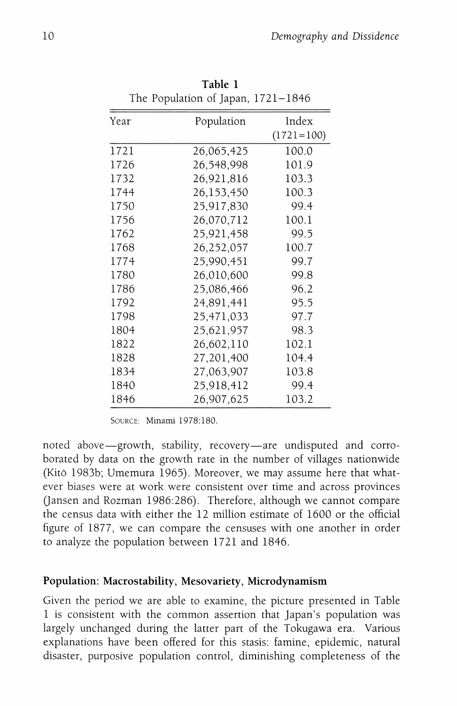| THE FODURATION OF JAPAN, $1/21-1070$ |            |              |
|--------------------------------------|------------|--------------|
| Year                                 | Population | Index        |
|                                      |            | $(1721=100)$ |
| 1721                                 | 26,065,425 | 100.0        |
| 1726                                 | 26,548,998 | 101.9        |
| 1732                                 | 26,921,816 | 103.3        |
| 1744                                 | 26,153,450 | 100.3        |
| 1750                                 | 25,917,830 | 99.4         |
| 1756                                 | 26,070,712 | 100.1        |
| 1762                                 | 25,921,458 | 99.5         |
| 1768                                 | 26,252,057 | 100.7        |
| 1774                                 | 25,990,451 | 99.7         |
| 1780                                 | 26,010,600 | 99.8         |
| 1786                                 | 25,086,466 | 96.2         |
| 1792                                 | 24,891,441 | 95.5         |
| 1798                                 | 25,471,033 | 97.7         |
| 1804                                 | 25,621,957 | 98.3         |
| 1822                                 | 26,602,110 | 102.1        |
| 1828                                 | 27,201,400 | 104.4        |
| 1834                                 | 27,063,907 | 103.8        |
| 1840                                 | 25,918,412 | 99.4         |
| 1846                                 | 26,907,625 | 103.2        |

**Table 1**  The Population of japan, 1721-1846

SOURCE: Minami 1978:180.

noted above-growth, stability, recovery-are undisputed and corroborated by data on the growth rate in the number of villages nationwide (Kito 1983b; Umemura 1965). Moreover, we may assume here that whatever biases were at work were consistent over time and across provinces (Jansen and Rozman 1986:286). Therefore, although we cannot compare the census data with either the 12 million estimate of 1600 or the official figure of 1877, we can compare the censuses with one another in order to analyze the population between 1721 and 1846.

#### Population: Macrostability, Mesovariety, Microdynamism

Given the period we are able to examine, the picture presented in Table 1 is consistent with the common assertion that Japan's population was largely unchanged during the latter part of the Tokugawa era. Various explanations have been offered for this stasis: famine, epidemic, natural disaster, purposive population control, diminishing completeness of the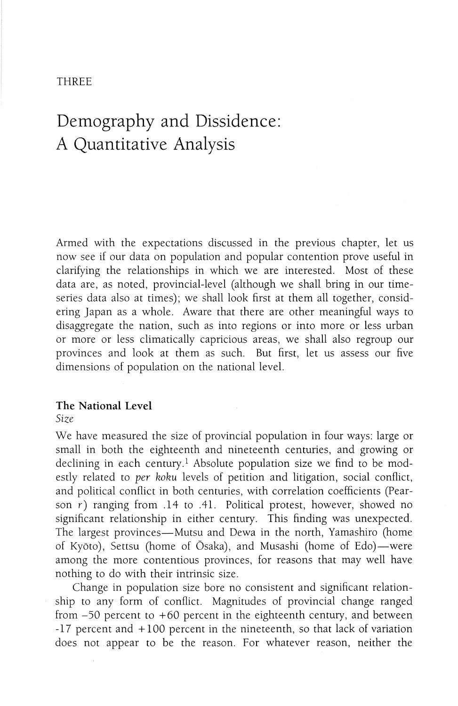#### THREE

# **Demography and Dissidence: A Quantitative Analysis**

Armed with the expectations discussed in the previous chapter, let us now see if our data on population and popular contention prove useful in clarifying the relationships in which we are interested. Most of these data are, as noted, provincial-level (although we shall bring in our timeseries data also at times); we shall look first at them all together, considering japan as a whole. Aware that there are other meaningful ways to disaggregate the nation, such as into regions or into more or less urban or more or less climatically capricious areas, we shall also regroup our provinces and look at them as such. But first, let us assess our five dimensions of population on the national level.

#### **The National Level**

*Size* 

We have measured the size of provincial population in four ways: large or small in both the eighteenth and nineteenth centuries, and growing or declining in each century.<sup>1</sup> Absolute population size we find to be modestly related to *per koku* levels of petition and litigation, social conflict, and political conflict in both centuries, with correlation coefficients (Pearson *r)* ranging from .14 to . 41. Political protest, however, showed no significant relationship in either century. This finding was unexpected. The largest provinces—Mutsu and Dewa in the north, Yamashiro (home of Kyōto), Settsu (home of Ōsaka), and Musashi (home of Edo)-were among the more contentious provinces, for reasons that may well have nothing to do with their intrinsic size.

Change in population size bore no consistent and significant relationship to any form of conflict. Magnitudes of provincial change ranged from  $-50$  percent to  $+60$  percent in the eighteenth century, and between **-l** 7 percent and + **l** 00 percent in the nineteenth, so that lack of variation does not appear to be the reason. For whatever reason, neither the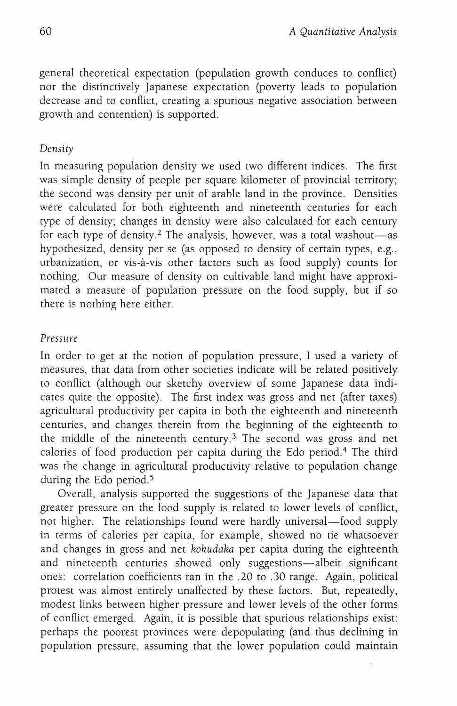general theoretical expectation (population growth conduces to conflict) nor the distinctively japanese expectation (poverty leads to population decrease and to conflict, creating a spurious negative association between growth and contention) is supported.

#### *Density*

In measuring population density we used two different indices. The first was simple density of people per square kilometer of provincial territory; the second was density per unit of arable land in the province. Densities were calculated for both eighteenth and nineteenth centuries for each type of density; changes in density were also calculated for each century for each type of density.<sup>2</sup> The analysis, however, was a total washout-as hypothesized, density per se (as opposed to density of certain types, e.g., urbanization, or vis-à-vis other factors such as food supply) counts for nothing. Our measure of density on cultivable land might have approximated a measure of population pressure on the food supply, but if so there is nothing here either.

#### *Pressure*

In order to get at the notion of population pressure, I used a variety of measures, that data from other societies indicate will be related positively to conflict (although our sketchy overview of some japanese data indicates quite the opposite). The first index was gross and net (after taxes) agricultural productivity per capita in both the eighteenth and nineteenth centuries, and changes therein from the beginning of the eighteenth to the middle of the nineteenth century.<sup>3</sup> The second was gross and net calories of food production per capita during the Edo period.<sup>4</sup> The third was the change in agricultural productivity relative to population change during the Edo period.<sup>5</sup>

Overall, analysis supported the suggestions of the japanese data that greater pressure on the food supply is related to lower levels of conflict, not higher. The relationships found were hardly universal—food supply in terms of calories per capita, for example, showed no tie whatsoever and changes in gross and net *kokudaka* per capita during the eighteenth and nineteenth centuries showed only suggestions-albeit significant ones: correlation coefficients ran in the .20 to .30 range. Again, political protest was almost entirely unaffected by these factors. But, repeatedly, modest links between higher pressure and lower levels of the other forms of conflict emerged. Again, it is possible that spurious relationships exist: perhaps the poorest provinces were depopulating (and thus declining in population pressure, assuming that the lower population could maintain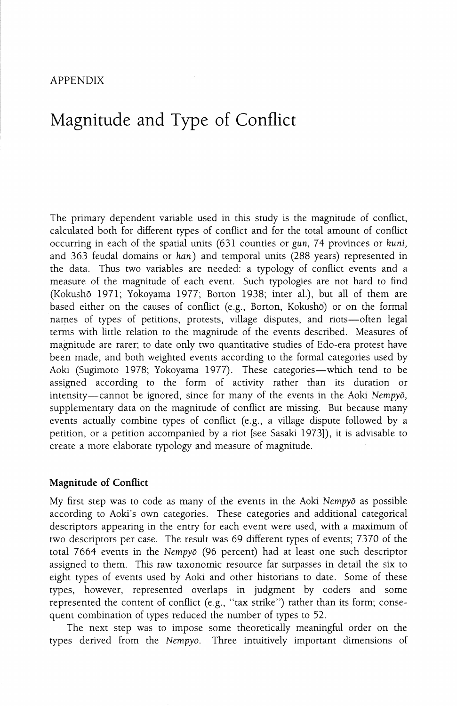#### APPENDIX

## **Magnitude and Type of Conflict**

The primary dependent variable used in this study is the magnitude of conflict, calculated both for different types of conflict and for the total amount of conflict occurring in each of the spatial units (631 counties or *gun,* 74 provinces or *kuni,*  and 363 feudal domains or *han)* and temporal units (288 years) represented in the data. Thus two variables are needed: a typology of conflict events and a measure of the magnitude of each event. Such typologies are not hard to find (Kokusho 1971; Yokoyama 1977; Borton 1938; inter al.), but all of them are based either on the causes of conflict (e.g., Borton, Kokushō) or on the formal names of types of petitions, protests, village disputes, and riots-often legal terms with little relation to the magnitude of the events described. Measures of magnitude are rarer; to date only two quantitative studies of Edo-era protest have been made, and both weighted events according to the formal categories used by Aoki (Sugimoto 1978; Yokoyama 1977). These categories-which tend to be assigned according to the form of activity rather than its duration or intensity-cannot be ignored, since for many of the events in the Aoki Nempyō, supplementary data on the magnitude of conflict are missing. But because many events actually combine types of conflict (e.g., a village dispute followed by a petition, or a petition accompanied by a riot [see Sasaki 19731), it is advisable to create a more elaborate typology and measure of magnitude.

#### **Magnitude of Conflict**

My first step was to code as many of the events in the Aoki Nempyō as possible according to Aoki's own categories. These categories and additional categorical descriptors appearing in the entry for each event were used, with a maximum of two descriptors per case. The result was 69 different types of events; 7370 of the total 7664 events in the Nempyō (96 percent) had at least one such descriptor assigned to them. This raw taxonomic resource far surpasses in detail the six to eight types of events used by Aoki and other historians to date. Some of these types, however, represented overlaps in judgment by coders and some represented the content of conflict (e.g., "tax strike") rather than its form; consequent combination of types reduced the number of types to 52.

The next step was to impose some theoretically meaningful order on the types derived from the Nempyō. Three intuitively important dimensions of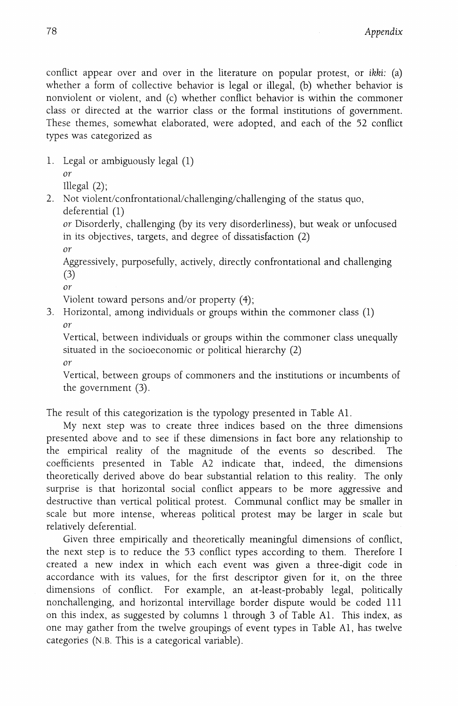conflict appear over and over in the literature on popular protest, or ikki: (a) whether a form of collective behavior is legal or illegal, (b) whether behavior is nonviolent or violent, and (c) whether conflict behavior is within the commoner class or directed at the warrior class or the formal institutions of government. These themes, somewhat elaborated, were adopted, and each of the 52 conflict types was categorized as

l. Legal or ambiguously legal (l) *or* 

Illegal  $(2)$ ;

2. Not violent/confrontational/challenging/challenging of the status quo, deferential (l)

*or* Disorderly, challenging (by its very disorderliness), but weak or unfocused in its objectives, targets, and degree of dissatisfaction (2) *or* 

Aggressively, purposefully, actively, directly confrontational and challenging (3)

*or* 

Violent toward persons and/or property (4);

3. Horizontal, among individuals or groups within the commoner class (l) *or* 

Vertical, between individuals or groups within the commoner class unequally situated in the socioeconomic or political hierarchy (2)

*or* 

Vertical, between groups of commoners and the institutions or incumbents of the government (3).

The result of this categorization is the typology presented in Table Al.

My next step was to create three indices based on the three dimensions presented above and to see if these dimensions in fact bore any relationship to the empirical reality of the magnitude of the events so described. The coefficients presented in Table A2 indicate that, indeed, the dimensions theoretically derived above do bear substantial relation to this reality. The only surprise is that horizontal social conflict appears to be more aggressive and destructive than vertical political protest. Communal conflict may be smaller in scale but more intense, whereas political protest may be larger in scale but relatively deferential.

Given three empirically and theoretically meaningful dimensions of conflict, the next step is to reduce the 53 conflict types according to them. Therefore I created a new index in which each event was given a three-digit code in accordance with its values, for the first descriptor given for it, on the three dimensions of conflict. For example, an at-least-probably legal, politically nonchallenging, and horizontal intervillage border dispute would be coded lll on this index, as suggested by columns l through 3 of Table Al. This index, as one may gather from the twelve groupings of event types in Table Al, has twelve categories (N.B. This is a categorical variable).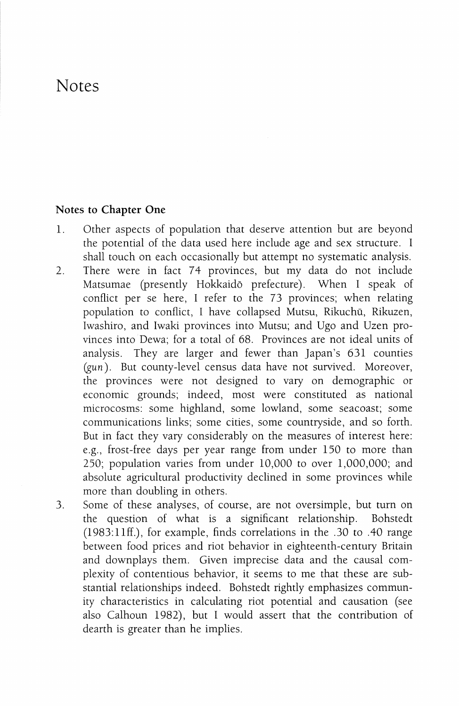## **Notes**

#### **Notes to Chapter One**

- 1. Other aspects of population that deserve attention but are beyond the potential of the data used here include age and sex structure. I shall touch on each occasionally but attempt no systematic analysis.
- 2. There were in fact 74 provinces, but my data do not include Matsumae (presently Hokkaido prefecture). When I speak of conflict per se here, I refer to the 73 provinces; when relating population to conflict, I have collapsed Mutsu, Rikuchū, Rikuzen, Iwashiro, and Iwaki provinces into Mutsu; and Ugo and Uzen provinces into Dewa; for a total of 68. Provinces are not ideal units of analysis. They are larger and fewer than japan's 631 counties *(gun).* But county-level census data have not survived. Moreover, the provinces were not designed to vary on demographic or economic grounds; indeed, most were constituted as national microcosms: some highland, some lowland, some seacoast; some communications links; some cities, some countryside, and so forth. But in fact they vary considerably on the measures of interest here: e.g., frost-free days per year range from under 150 to more than 250; population varies from under 10,000 to over 1,000,000; and absolute agricultural productivity declined in some provinces while more than doubling in others.
- 3. Some of these analyses, of course, are not oversimple, but turn on the question of what is a significant relationship. Bohstedt (1983:llff.), for example, finds correlations in the .30 to .40 range between food prices and riot behavior in eighteenth-century Britain and downplays them. Given imprecise data and the causal complexity of contentious behavior, it seems to me that these are substantial relationships indeed. Bohstedt rightly emphasizes community characteristics in calculating riot potential and causation (see also Calhoun 1982), but I would assert that the contribution of dearth is greater than he implies.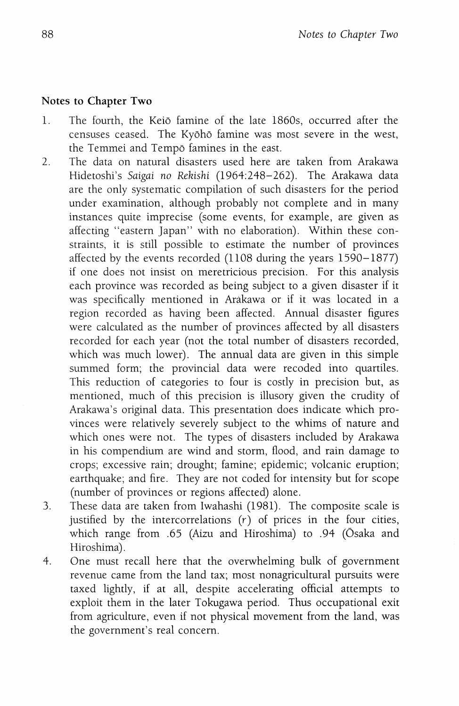#### **Notes to Chapter Two**

- l. The fourth, the Keio famine of the late 1860s, occurred after the censuses ceased. The Kyoho famine was most severe in the west, the Temmei and Tempo famines in the east.
- *2.* The data on natural disasters used here are taken from Arakawa Hidetoshi's *Saigai no Rekishi* (1964:248-262). The Arakawa data are the only systematic compilation of such disasters for the period under examination, although probably not complete and in many instances quite imprecise (some events, for example, are given as affecting "eastern japan" with no elaboration). Within these constraints, it is still possible to estimate the number of provinces affected by the events recorded (1108 during the years 1590-1877) if one does not insist on meretricious precision. For this analysis each province was recorded as being subject to a given disaster if it was specifically mentioned in Arakawa or if it was located in a region recorded as having been affected. Annual disaster figures were calculated as the number of provinces affected by all disasters recorded for each year (not the total number of disasters recorded, which was much lower). The annual data are given in this simple summed form; the provincial data were recoded into quartiles. This reduction of categories to four is costly in precision but, as mentioned, much of this precision is illusory given the crudity of Arakawa's original data. This presentation does indicate which provinces were relatively severely subject to the whims of nature and which ones were not. The types of disasters included by Arakawa in his compendium are wind and storm, flood, and rain damage to crops; excessive rain; drought; famine; epidemic; volcanic eruption; earthquake; and fire. They are not coded for intensity but for scope (number of provinces or regions affected) alone.
- 3. These data are taken from Iwahashi (1981). The composite scale is justified by the intercorrelations  $(r)$  of prices in the four cities, which range from .65 (Aizu and Hiroshima) to .94 (Osaka and Hiroshima).
- 4. One must recall here that the overwhelming bulk of government revenue came from the land tax; most nonagricultural pursuits were taxed lightly, if at all, despite accelerating official attempts to exploit them in the later Tokugawa period. Thus occupational exit from agriculture, even if not physical movement from the land, was the government's real concern.